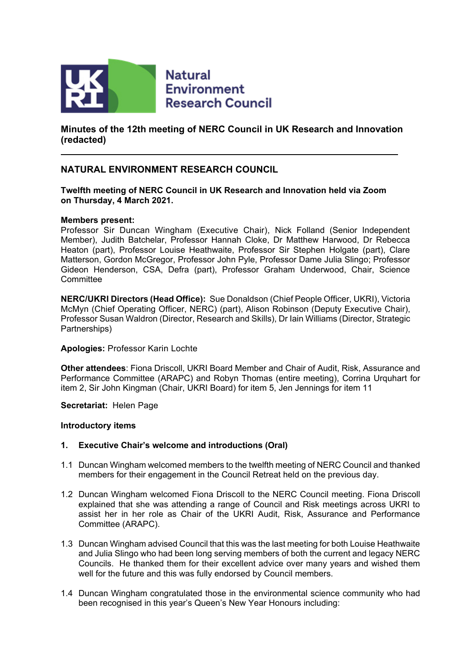

**Natural Environment Research Council** 

**Minutes of the 12th meeting of NERC Council in UK Research and Innovation (redacted)**

#### **NATURAL ENVIRONMENT RESEARCH COUNCIL**

**Twelfth meeting of NERC Council in UK Research and Innovation held via Zoom on Thursday, 4 March 2021.** 

#### **Members present:**

Professor Sir Duncan Wingham (Executive Chair), Nick Folland (Senior Independent Member), Judith Batchelar, Professor Hannah Cloke, Dr Matthew Harwood, Dr Rebecca Heaton (part), Professor Louise Heathwaite, Professor Sir Stephen Holgate (part), Clare Matterson, Gordon McGregor, Professor John Pyle, Professor Dame Julia Slingo; Professor Gideon Henderson, CSA, Defra (part), Professor Graham Underwood, Chair, Science **Committee** 

**NERC/UKRI Directors (Head Office):** Sue Donaldson (Chief People Officer, UKRI), Victoria McMyn (Chief Operating Officer, NERC) (part), Alison Robinson (Deputy Executive Chair), Professor Susan Waldron (Director, Research and Skills), Dr Iain Williams (Director, Strategic Partnerships)

#### **Apologies:** Professor Karin Lochte

**Other attendees**: Fiona Driscoll, UKRI Board Member and Chair of Audit, Risk, Assurance and Performance Committee (ARAPC) and Robyn Thomas (entire meeting), Corrina Urquhart for item 2, Sir John Kingman (Chair, UKRI Board) for item 5, Jen Jennings for item 11

**Secretariat:** Helen Page

#### **Introductory items**

#### **1. Executive Chair's welcome and introductions (Oral)**

- 1.1 Duncan Wingham welcomed members to the twelfth meeting of NERC Council and thanked members for their engagement in the Council Retreat held on the previous day.
- 1.2 Duncan Wingham welcomed Fiona Driscoll to the NERC Council meeting. Fiona Driscoll explained that she was attending a range of Council and Risk meetings across UKRI to assist her in her role as Chair of the UKRI Audit, Risk, Assurance and Performance Committee (ARAPC).
- 1.3 Duncan Wingham advised Council that this was the last meeting for both Louise Heathwaite and Julia Slingo who had been long serving members of both the current and legacy NERC Councils. He thanked them for their excellent advice over many years and wished them well for the future and this was fully endorsed by Council members.
- 1.4 Duncan Wingham congratulated those in the environmental science community who had been recognised in this year's Queen's New Year Honours including: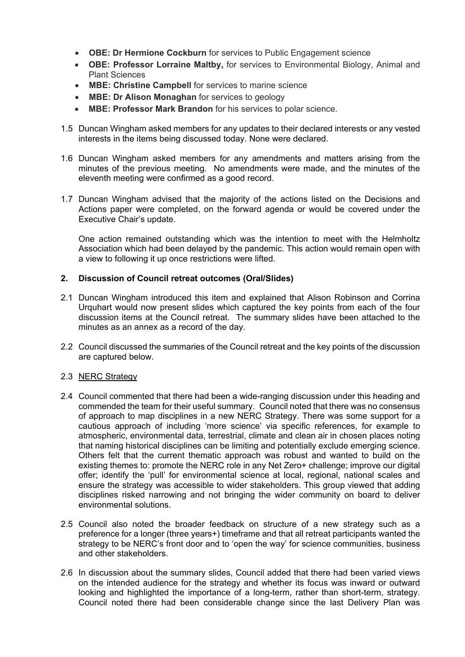- **OBE: Dr Hermione Cockburn** for services to Public Engagement science
- **OBE: Professor Lorraine Maltby,** for services to Environmental Biology, Animal and Plant Sciences
- **MBE: Christine Campbell** for services to marine science
- **MBE: Dr Alison Monaghan** for services to geology
- **MBE: Professor Mark Brandon** for his services to polar science.
- 1.5 Duncan Wingham asked members for any updates to their declared interests or any vested interests in the items being discussed today. None were declared.
- 1.6 Duncan Wingham asked members for any amendments and matters arising from the minutes of the previous meeting. No amendments were made, and the minutes of the eleventh meeting were confirmed as a good record.
- 1.7 Duncan Wingham advised that the majority of the actions listed on the Decisions and Actions paper were completed, on the forward agenda or would be covered under the Executive Chair's update.

One action remained outstanding which was the intention to meet with the Helmholtz Association which had been delayed by the pandemic. This action would remain open with a view to following it up once restrictions were lifted.

#### **2. Discussion of Council retreat outcomes (Oral/Slides)**

- 2.1 Duncan Wingham introduced this item and explained that Alison Robinson and Corrina Urquhart would now present slides which captured the key points from each of the four discussion items at the Council retreat. The summary slides have been attached to the minutes as an annex as a record of the day.
- 2.2 Council discussed the summaries of the Council retreat and the key points of the discussion are captured below.

#### 2.3 NERC Strategy

- 2.4 Council commented that there had been a wide-ranging discussion under this heading and commended the team for their useful summary. Council noted that there was no consensus of approach to map disciplines in a new NERC Strategy. There was some support for a cautious approach of including 'more science' via specific references, for example to atmospheric, environmental data, terrestrial, climate and clean air in chosen places noting that naming historical disciplines can be limiting and potentially exclude emerging science. Others felt that the current thematic approach was robust and wanted to build on the existing themes to: promote the NERC role in any Net Zero+ challenge; improve our digital offer; identify the 'pull' for environmental science at local, regional, national scales and ensure the strategy was accessible to wider stakeholders. This group viewed that adding disciplines risked narrowing and not bringing the wider community on board to deliver environmental solutions.
- 2.5 Council also noted the broader feedback on structure of a new strategy such as a preference for a longer (three years+) timeframe and that all retreat participants wanted the strategy to be NERC's front door and to 'open the way' for science communities, business and other stakeholders.
- 2.6 In discussion about the summary slides, Council added that there had been varied views on the intended audience for the strategy and whether its focus was inward or outward looking and highlighted the importance of a long-term, rather than short-term, strategy. Council noted there had been considerable change since the last Delivery Plan was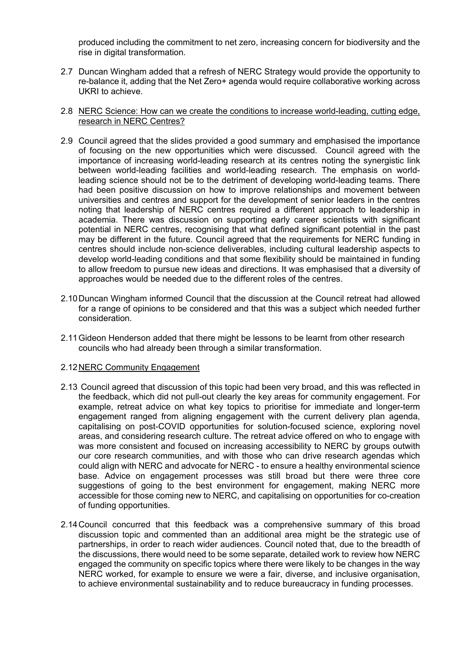produced including the commitment to net zero, increasing concern for biodiversity and the rise in digital transformation.

2.7 Duncan Wingham added that a refresh of NERC Strategy would provide the opportunity to re-balance it, adding that the Net Zero+ agenda would require collaborative working across UKRI to achieve.

#### 2.8 NERC Science: How can we create the conditions to increase world-leading, cutting edge, research in NERC Centres?

- 2.9 Council agreed that the slides provided a good summary and emphasised the importance of focusing on the new opportunities which were discussed. Council agreed with the importance of increasing world-leading research at its centres noting the synergistic link between world-leading facilities and world-leading research. The emphasis on worldleading science should not be to the detriment of developing world-leading teams. There had been positive discussion on how to improve relationships and movement between universities and centres and support for the development of senior leaders in the centres noting that leadership of NERC centres required a different approach to leadership in academia. There was discussion on supporting early career scientists with significant potential in NERC centres, recognising that what defined significant potential in the past may be different in the future. Council agreed that the requirements for NERC funding in centres should include non-science deliverables, including cultural leadership aspects to develop world-leading conditions and that some flexibility should be maintained in funding to allow freedom to pursue new ideas and directions. It was emphasised that a diversity of approaches would be needed due to the different roles of the centres.
- 2.10Duncan Wingham informed Council that the discussion at the Council retreat had allowed for a range of opinions to be considered and that this was a subject which needed further consideration.
- 2.11Gideon Henderson added that there might be lessons to be learnt from other research councils who had already been through a similar transformation.

#### 2.12NERC Community Engagement

- 2.13 Council agreed that discussion of this topic had been very broad, and this was reflected in the feedback, which did not pull-out clearly the key areas for community engagement. For example, retreat advice on what key topics to prioritise for immediate and longer-term engagement ranged from aligning engagement with the current delivery plan agenda, capitalising on post-COVID opportunities for solution-focused science, exploring novel areas, and considering research culture. The retreat advice offered on who to engage with was more consistent and focused on increasing accessibility to NERC by groups outwith our core research communities, and with those who can drive research agendas which could align with NERC and advocate for NERC - to ensure a healthy environmental science base. Advice on engagement processes was still broad but there were three core suggestions of going to the best environment for engagement, making NERC more accessible for those coming new to NERC, and capitalising on opportunities for co-creation of funding opportunities.
- 2.14Council concurred that this feedback was a comprehensive summary of this broad discussion topic and commented than an additional area might be the strategic use of partnerships, in order to reach wider audiences. Council noted that, due to the breadth of the discussions, there would need to be some separate, detailed work to review how NERC engaged the community on specific topics where there were likely to be changes in the way NERC worked, for example to ensure we were a fair, diverse, and inclusive organisation, to achieve environmental sustainability and to reduce bureaucracy in funding processes.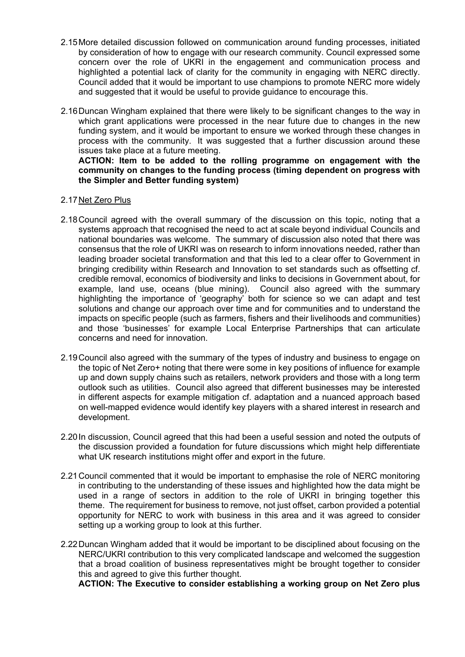- 2.15More detailed discussion followed on communication around funding processes, initiated by consideration of how to engage with our research community. Council expressed some concern over the role of UKRI in the engagement and communication process and highlighted a potential lack of clarity for the community in engaging with NERC directly. Council added that it would be important to use champions to promote NERC more widely and suggested that it would be useful to provide guidance to encourage this.
- 2.16Duncan Wingham explained that there were likely to be significant changes to the way in which grant applications were processed in the near future due to changes in the new funding system, and it would be important to ensure we worked through these changes in process with the community. It was suggested that a further discussion around these issues take place at a future meeting.

#### **ACTION: Item to be added to the rolling programme on engagement with the community on changes to the funding process (timing dependent on progress with the Simpler and Better funding system)**

#### 2.17Net Zero Plus

- 2.18Council agreed with the overall summary of the discussion on this topic, noting that a systems approach that recognised the need to act at scale beyond individual Councils and national boundaries was welcome. The summary of discussion also noted that there was consensus that the role of UKRI was on research to inform innovations needed, rather than leading broader societal transformation and that this led to a clear offer to Government in bringing credibility within Research and Innovation to set standards such as offsetting cf. credible removal, economics of biodiversity and links to decisions in Government about, for example, land use, oceans (blue mining). Council also agreed with the summary highlighting the importance of 'geography' both for science so we can adapt and test solutions and change our approach over time and for communities and to understand the impacts on specific people (such as farmers, fishers and their livelihoods and communities) and those 'businesses' for example Local Enterprise Partnerships that can articulate concerns and need for innovation.
- 2.19Council also agreed with the summary of the types of industry and business to engage on the topic of Net Zero+ noting that there were some in key positions of influence for example up and down supply chains such as retailers, network providers and those with a long term outlook such as utilities. Council also agreed that different businesses may be interested in different aspects for example mitigation cf. adaptation and a nuanced approach based on well-mapped evidence would identify key players with a shared interest in research and development.
- 2.20In discussion, Council agreed that this had been a useful session and noted the outputs of the discussion provided a foundation for future discussions which might help differentiate what UK research institutions might offer and export in the future.
- 2.21Council commented that it would be important to emphasise the role of NERC monitoring in contributing to the understanding of these issues and highlighted how the data might be used in a range of sectors in addition to the role of UKRI in bringing together this theme. The requirement for business to remove, not just offset, carbon provided a potential opportunity for NERC to work with business in this area and it was agreed to consider setting up a working group to look at this further.
- 2.22Duncan Wingham added that it would be important to be disciplined about focusing on the NERC/UKRI contribution to this very complicated landscape and welcomed the suggestion that a broad coalition of business representatives might be brought together to consider this and agreed to give this further thought.

**ACTION: The Executive to consider establishing a working group on Net Zero plus**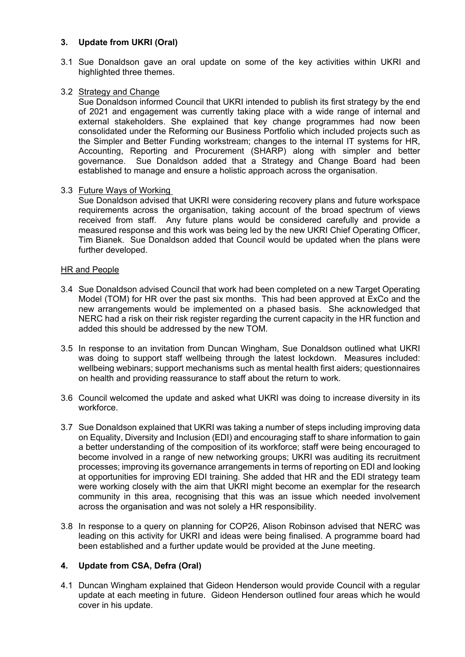#### **3. Update from UKRI (Oral)**

3.1 Sue Donaldson gave an oral update on some of the key activities within UKRI and highlighted three themes.

#### 3.2 Strategy and Change

Sue Donaldson informed Council that UKRI intended to publish its first strategy by the end of 2021 and engagement was currently taking place with a wide range of internal and external stakeholders. She explained that key change programmes had now been consolidated under the Reforming our Business Portfolio which included projects such as the Simpler and Better Funding workstream; changes to the internal IT systems for HR, Accounting, Reporting and Procurement (SHARP) along with simpler and better governance. Sue Donaldson added that a Strategy and Change Board had been established to manage and ensure a holistic approach across the organisation.

#### 3.3 Future Ways of Working

Sue Donaldson advised that UKRI were considering recovery plans and future workspace requirements across the organisation, taking account of the broad spectrum of views received from staff. Any future plans would be considered carefully and provide a measured response and this work was being led by the new UKRI Chief Operating Officer, Tim Bianek. Sue Donaldson added that Council would be updated when the plans were further developed.

#### HR and People

- 3.4 Sue Donaldson advised Council that work had been completed on a new Target Operating Model (TOM) for HR over the past six months. This had been approved at ExCo and the new arrangements would be implemented on a phased basis. She acknowledged that NERC had a risk on their risk register regarding the current capacity in the HR function and added this should be addressed by the new TOM.
- 3.5 In response to an invitation from Duncan Wingham, Sue Donaldson outlined what UKRI was doing to support staff wellbeing through the latest lockdown. Measures included: wellbeing webinars; support mechanisms such as mental health first aiders; questionnaires on health and providing reassurance to staff about the return to work.
- 3.6 Council welcomed the update and asked what UKRI was doing to increase diversity in its workforce.
- 3.7 Sue Donaldson explained that UKRI was taking a number of steps including improving data on Equality, Diversity and Inclusion (EDI) and encouraging staff to share information to gain a better understanding of the composition of its workforce; staff were being encouraged to become involved in a range of new networking groups; UKRI was auditing its recruitment processes; improving its governance arrangements in terms of reporting on EDI and looking at opportunities for improving EDI training. She added that HR and the EDI strategy team were working closely with the aim that UKRI might become an exemplar for the research community in this area, recognising that this was an issue which needed involvement across the organisation and was not solely a HR responsibility.
- 3.8 In response to a query on planning for COP26, Alison Robinson advised that NERC was leading on this activity for UKRI and ideas were being finalised. A programme board had been established and a further update would be provided at the June meeting.

#### **4. Update from CSA, Defra (Oral)**

4.1 Duncan Wingham explained that Gideon Henderson would provide Council with a regular update at each meeting in future. Gideon Henderson outlined four areas which he would cover in his update.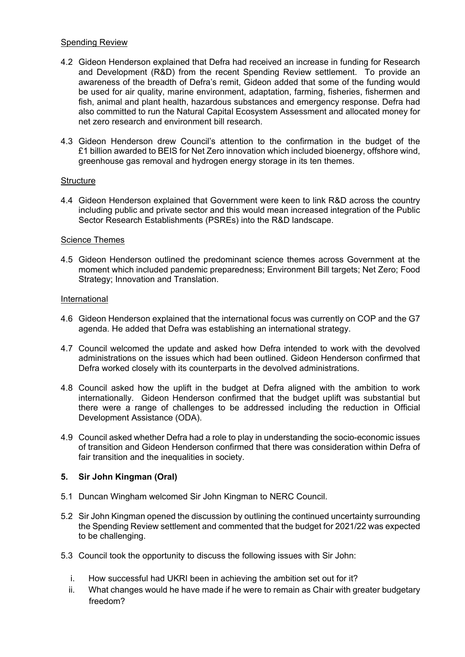#### Spending Review

- 4.2 Gideon Henderson explained that Defra had received an increase in funding for Research and Development (R&D) from the recent Spending Review settlement. To provide an awareness of the breadth of Defra's remit, Gideon added that some of the funding would be used for air quality, marine environment, adaptation, farming, fisheries, fishermen and fish, animal and plant health, hazardous substances and emergency response. Defra had also committed to run the Natural Capital Ecosystem Assessment and allocated money for net zero research and environment bill research.
- 4.3 Gideon Henderson drew Council's attention to the confirmation in the budget of the £1 billion awarded to BEIS for Net Zero innovation which included bioenergy, offshore wind, greenhouse gas removal and hydrogen energy storage in its ten themes.

#### **Structure**

4.4 Gideon Henderson explained that Government were keen to link R&D across the country including public and private sector and this would mean increased integration of the Public Sector Research Establishments (PSREs) into the R&D landscape.

#### Science Themes

4.5 Gideon Henderson outlined the predominant science themes across Government at the moment which included pandemic preparedness; Environment Bill targets; Net Zero; Food Strategy; Innovation and Translation.

#### International

- 4.6 Gideon Henderson explained that the international focus was currently on COP and the G7 agenda. He added that Defra was establishing an international strategy.
- 4.7 Council welcomed the update and asked how Defra intended to work with the devolved administrations on the issues which had been outlined. Gideon Henderson confirmed that Defra worked closely with its counterparts in the devolved administrations.
- 4.8 Council asked how the uplift in the budget at Defra aligned with the ambition to work internationally. Gideon Henderson confirmed that the budget uplift was substantial but there were a range of challenges to be addressed including the reduction in Official Development Assistance (ODA).
- 4.9 Council asked whether Defra had a role to play in understanding the socio-economic issues of transition and Gideon Henderson confirmed that there was consideration within Defra of fair transition and the inequalities in society.

#### **5. Sir John Kingman (Oral)**

- 5.1 Duncan Wingham welcomed Sir John Kingman to NERC Council.
- 5.2 Sir John Kingman opened the discussion by outlining the continued uncertainty surrounding the Spending Review settlement and commented that the budget for 2021/22 was expected to be challenging.
- 5.3 Council took the opportunity to discuss the following issues with Sir John:
	- i. How successful had UKRI been in achieving the ambition set out for it?
	- ii. What changes would he have made if he were to remain as Chair with greater budgetary freedom?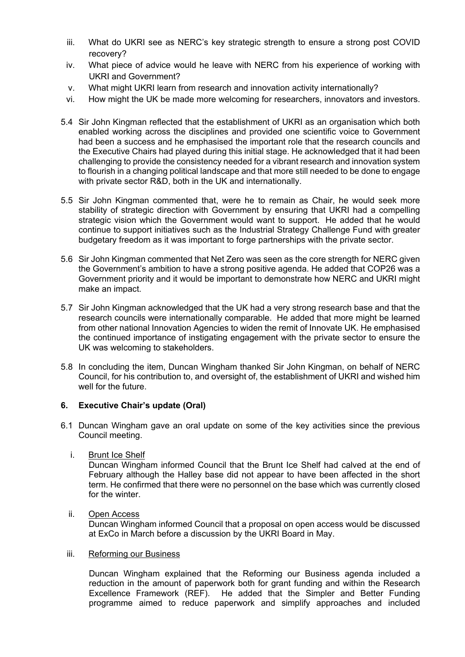- iii. What do UKRI see as NERC's key strategic strength to ensure a strong post COVID recovery?
- iv. What piece of advice would he leave with NERC from his experience of working with UKRI and Government?
- v. What might UKRI learn from research and innovation activity internationally?
- vi. How might the UK be made more welcoming for researchers, innovators and investors.
- 5.4 Sir John Kingman reflected that the establishment of UKRI as an organisation which both enabled working across the disciplines and provided one scientific voice to Government had been a success and he emphasised the important role that the research councils and the Executive Chairs had played during this initial stage. He acknowledged that it had been challenging to provide the consistency needed for a vibrant research and innovation system to flourish in a changing political landscape and that more still needed to be done to engage with private sector R&D, both in the UK and internationally.
- 5.5 Sir John Kingman commented that, were he to remain as Chair, he would seek more stability of strategic direction with Government by ensuring that UKRI had a compelling strategic vision which the Government would want to support. He added that he would continue to support initiatives such as the Industrial Strategy Challenge Fund with greater budgetary freedom as it was important to forge partnerships with the private sector.
- 5.6 Sir John Kingman commented that Net Zero was seen as the core strength for NERC given the Government's ambition to have a strong positive agenda. He added that COP26 was a Government priority and it would be important to demonstrate how NERC and UKRI might make an impact.
- 5.7 Sir John Kingman acknowledged that the UK had a very strong research base and that the research councils were internationally comparable. He added that more might be learned from other national Innovation Agencies to widen the remit of Innovate UK. He emphasised the continued importance of instigating engagement with the private sector to ensure the UK was welcoming to stakeholders.
- 5.8 In concluding the item, Duncan Wingham thanked Sir John Kingman, on behalf of NERC Council, for his contribution to, and oversight of, the establishment of UKRI and wished him well for the future.

#### **6. Executive Chair's update (Oral)**

- 6.1 Duncan Wingham gave an oral update on some of the key activities since the previous Council meeting.
	- i. Brunt Ice Shelf

Duncan Wingham informed Council that the Brunt Ice Shelf had calved at the end of February although the Halley base did not appear to have been affected in the short term. He confirmed that there were no personnel on the base which was currently closed for the winter.

ii. Open Access

Duncan Wingham informed Council that a proposal on open access would be discussed at ExCo in March before a discussion by the UKRI Board in May.

#### iii. Reforming our Business

Duncan Wingham explained that the Reforming our Business agenda included a reduction in the amount of paperwork both for grant funding and within the Research Excellence Framework (REF). He added that the Simpler and Better Funding programme aimed to reduce paperwork and simplify approaches and included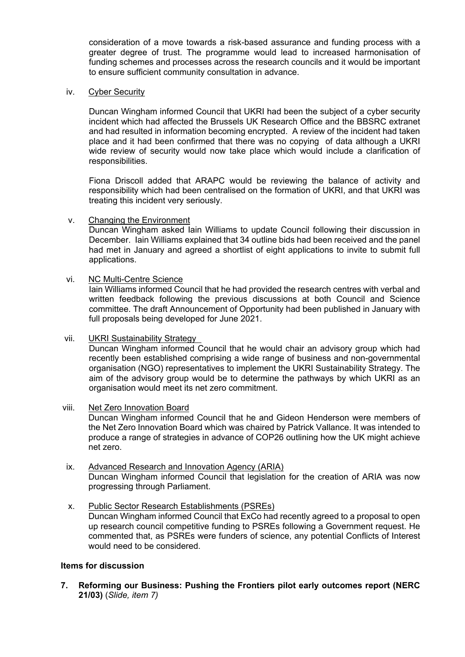consideration of a move towards a risk-based assurance and funding process with a greater degree of trust. The programme would lead to increased harmonisation of funding schemes and processes across the research councils and it would be important to ensure sufficient community consultation in advance.

#### iv. Cyber Security

Duncan Wingham informed Council that UKRI had been the subject of a cyber security incident which had affected the Brussels UK Research Office and the BBSRC extranet and had resulted in information becoming encrypted. A review of the incident had taken place and it had been confirmed that there was no copying of data although a UKRI wide review of security would now take place which would include a clarification of responsibilities.

Fiona Driscoll added that ARAPC would be reviewing the balance of activity and responsibility which had been centralised on the formation of UKRI, and that UKRI was treating this incident very seriously.

v. Changing the Environment

Duncan Wingham asked Iain Williams to update Council following their discussion in December. Iain Williams explained that 34 outline bids had been received and the panel had met in January and agreed a shortlist of eight applications to invite to submit full applications.

vi. NC Multi-Centre Science

Iain Williams informed Council that he had provided the research centres with verbal and written feedback following the previous discussions at both Council and Science committee. The draft Announcement of Opportunity had been published in January with full proposals being developed for June 2021.

vii. UKRI Sustainability Strategy Duncan Wingham informed Council that he would chair an advisory group which had recently been established comprising a wide range of business and non-governmental organisation (NGO) representatives to implement the UKRI Sustainability Strategy. The aim of the advisory group would be to determine the pathways by which UKRI as an

organisation would meet its net zero commitment.

#### viii. Net Zero Innovation Board

Duncan Wingham informed Council that he and Gideon Henderson were members of the Net Zero Innovation Board which was chaired by Patrick Vallance. It was intended to produce a range of strategies in advance of COP26 outlining how the UK might achieve net zero.

- ix. Advanced Research and Innovation Agency (ARIA) Duncan Wingham informed Council that legislation for the creation of ARIA was now progressing through Parliament.
- x. Public Sector Research Establishments (PSREs) Duncan Wingham informed Council that ExCo had recently agreed to a proposal to open up research council competitive funding to PSREs following a Government request. He commented that, as PSREs were funders of science, any potential Conflicts of Interest would need to be considered.

#### **Items for discussion**

**7. Reforming our Business: Pushing the Frontiers pilot early outcomes report (NERC 21/03)** (*Slide, item 7)*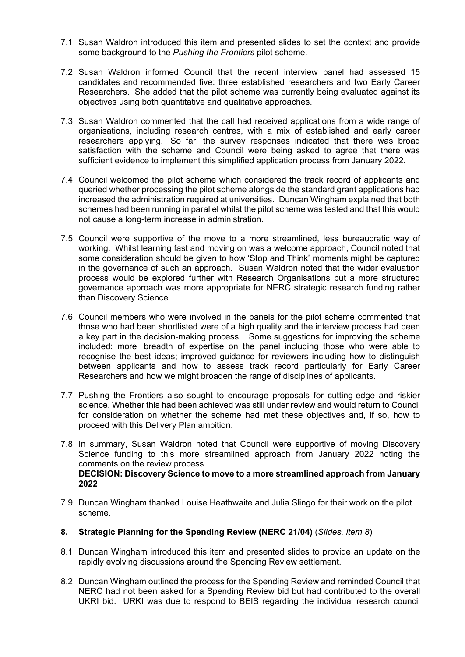- 7.1 Susan Waldron introduced this item and presented slides to set the context and provide some background to the *Pushing the Frontiers* pilot scheme.
- 7.2 Susan Waldron informed Council that the recent interview panel had assessed 15 candidates and recommended five: three established researchers and two Early Career Researchers. She added that the pilot scheme was currently being evaluated against its objectives using both quantitative and qualitative approaches.
- 7.3 Susan Waldron commented that the call had received applications from a wide range of organisations, including research centres, with a mix of established and early career researchers applying. So far, the survey responses indicated that there was broad satisfaction with the scheme and Council were being asked to agree that there was sufficient evidence to implement this simplified application process from January 2022.
- 7.4 Council welcomed the pilot scheme which considered the track record of applicants and queried whether processing the pilot scheme alongside the standard grant applications had increased the administration required at universities. Duncan Wingham explained that both schemes had been running in parallel whilst the pilot scheme was tested and that this would not cause a long-term increase in administration.
- 7.5 Council were supportive of the move to a more streamlined, less bureaucratic way of working. Whilst learning fast and moving on was a welcome approach, Council noted that some consideration should be given to how 'Stop and Think' moments might be captured in the governance of such an approach. Susan Waldron noted that the wider evaluation process would be explored further with Research Organisations but a more structured governance approach was more appropriate for NERC strategic research funding rather than Discovery Science.
- 7.6 Council members who were involved in the panels for the pilot scheme commented that those who had been shortlisted were of a high quality and the interview process had been a key part in the decision-making process. Some suggestions for improving the scheme included: more breadth of expertise on the panel including those who were able to recognise the best ideas; improved guidance for reviewers including how to distinguish between applicants and how to assess track record particularly for Early Career Researchers and how we might broaden the range of disciplines of applicants.
- 7.7 Pushing the Frontiers also sought to encourage proposals for cutting-edge and riskier science. Whether this had been achieved was still under review and would return to Council for consideration on whether the scheme had met these objectives and, if so, how to proceed with this Delivery Plan ambition.
- 7.8 In summary, Susan Waldron noted that Council were supportive of moving Discovery Science funding to this more streamlined approach from January 2022 noting the comments on the review process. **DECISION: Discovery Science to move to a more streamlined approach from January 2022**
- 7.9 Duncan Wingham thanked Louise Heathwaite and Julia Slingo for their work on the pilot scheme.
- **8. Strategic Planning for the Spending Review (NERC 21/04)** (*Slides, item 8*)
- 8.1 Duncan Wingham introduced this item and presented slides to provide an update on the rapidly evolving discussions around the Spending Review settlement.
- 8.2 Duncan Wingham outlined the process for the Spending Review and reminded Council that NERC had not been asked for a Spending Review bid but had contributed to the overall UKRI bid. URKI was due to respond to BEIS regarding the individual research council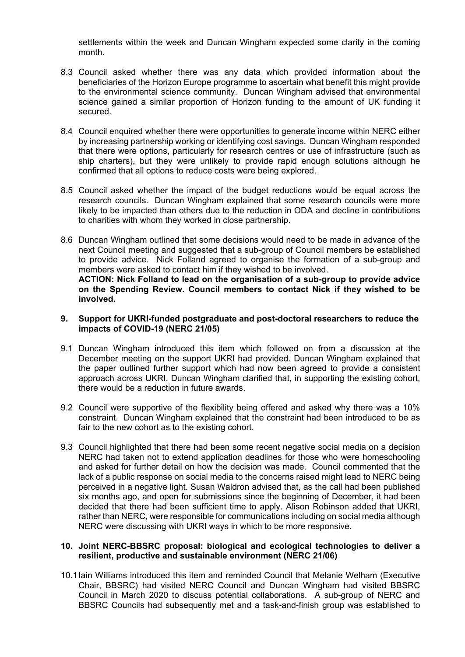settlements within the week and Duncan Wingham expected some clarity in the coming month.

- 8.3 Council asked whether there was any data which provided information about the beneficiaries of the Horizon Europe programme to ascertain what benefit this might provide to the environmental science community. Duncan Wingham advised that environmental science gained a similar proportion of Horizon funding to the amount of UK funding it secured.
- 8.4 Council enquired whether there were opportunities to generate income within NERC either by increasing partnership working or identifying cost savings. Duncan Wingham responded that there were options, particularly for research centres or use of infrastructure (such as ship charters), but they were unlikely to provide rapid enough solutions although he confirmed that all options to reduce costs were being explored.
- 8.5 Council asked whether the impact of the budget reductions would be equal across the research councils. Duncan Wingham explained that some research councils were more likely to be impacted than others due to the reduction in ODA and decline in contributions to charities with whom they worked in close partnership.
- 8.6 Duncan Wingham outlined that some decisions would need to be made in advance of the next Council meeting and suggested that a sub-group of Council members be established to provide advice. Nick Folland agreed to organise the formation of a sub-group and members were asked to contact him if they wished to be involved. **ACTION: Nick Folland to lead on the organisation of a sub-group to provide advice**

**on the Spending Review. Council members to contact Nick if they wished to be involved.**

#### **9. Support for UKRI-funded postgraduate and post-doctoral researchers to reduce the impacts of COVID-19 (NERC 21/05)**

- 9.1 Duncan Wingham introduced this item which followed on from a discussion at the December meeting on the support UKRI had provided. Duncan Wingham explained that the paper outlined further support which had now been agreed to provide a consistent approach across UKRI. Duncan Wingham clarified that, in supporting the existing cohort, there would be a reduction in future awards.
- 9.2 Council were supportive of the flexibility being offered and asked why there was a 10% constraint. Duncan Wingham explained that the constraint had been introduced to be as fair to the new cohort as to the existing cohort.
- 9.3 Council highlighted that there had been some recent negative social media on a decision NERC had taken not to extend application deadlines for those who were homeschooling and asked for further detail on how the decision was made. Council commented that the lack of a public response on social media to the concerns raised might lead to NERC being perceived in a negative light. Susan Waldron advised that, as the call had been published six months ago, and open for submissions since the beginning of December, it had been decided that there had been sufficient time to apply. Alison Robinson added that UKRI, rather than NERC, were responsible for communications including on social media although NERC were discussing with UKRI ways in which to be more responsive.

#### **10. Joint NERC-BBSRC proposal: biological and ecological technologies to deliver a resilient, productive and sustainable environment (NERC 21/06)**

10.1Iain Williams introduced this item and reminded Council that Melanie Welham (Executive Chair, BBSRC) had visited NERC Council and Duncan Wingham had visited BBSRC Council in March 2020 to discuss potential collaborations. A sub-group of NERC and BBSRC Councils had subsequently met and a task-and-finish group was established to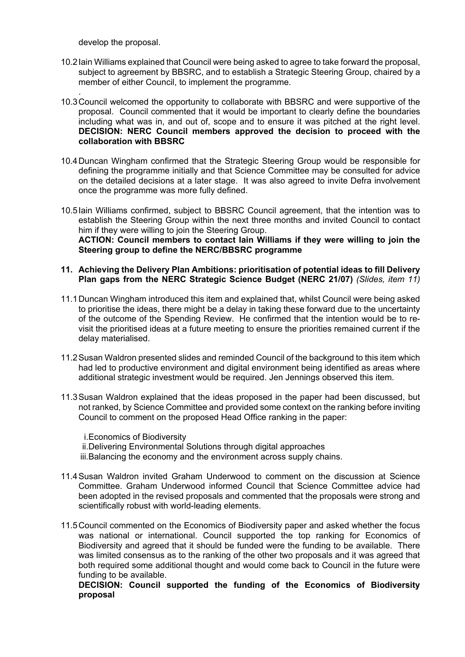develop the proposal.

- 10.2Iain Williams explained that Council were being asked to agree to take forward the proposal, subject to agreement by BBSRC, and to establish a Strategic Steering Group, chaired by a member of either Council, to implement the programme.
- . 10.3Council welcomed the opportunity to collaborate with BBSRC and were supportive of the proposal. Council commented that it would be important to clearly define the boundaries including what was in, and out of, scope and to ensure it was pitched at the right level. **DECISION: NERC Council members approved the decision to proceed with the collaboration with BBSRC**
- 10.4Duncan Wingham confirmed that the Strategic Steering Group would be responsible for defining the programme initially and that Science Committee may be consulted for advice on the detailed decisions at a later stage. It was also agreed to invite Defra involvement once the programme was more fully defined.
- 10.5Iain Williams confirmed, subject to BBSRC Council agreement, that the intention was to establish the Steering Group within the next three months and invited Council to contact him if they were willing to join the Steering Group. **ACTION: Council members to contact Iain Williams if they were willing to join the Steering group to define the NERC/BBSRC programme**

#### **11. Achieving the Delivery Plan Ambitions: prioritisation of potential ideas to fill Delivery Plan gaps from the NERC Strategic Science Budget (NERC 21/07)** *(Slides, item 11)*

- 11.1Duncan Wingham introduced this item and explained that, whilst Council were being asked to prioritise the ideas, there might be a delay in taking these forward due to the uncertainty of the outcome of the Spending Review. He confirmed that the intention would be to revisit the prioritised ideas at a future meeting to ensure the priorities remained current if the delay materialised.
- 11.2Susan Waldron presented slides and reminded Council of the background to this item which had led to productive environment and digital environment being identified as areas where additional strategic investment would be required. Jen Jennings observed this item.
- 11.3Susan Waldron explained that the ideas proposed in the paper had been discussed, but not ranked, by Science Committee and provided some context on the ranking before inviting Council to comment on the proposed Head Office ranking in the paper:

i.Economics of Biodiversity ii.Delivering Environmental Solutions through digital approaches iii.Balancing the economy and the environment across supply chains.

- 11.4Susan Waldron invited Graham Underwood to comment on the discussion at Science Committee. Graham Underwood informed Council that Science Committee advice had been adopted in the revised proposals and commented that the proposals were strong and scientifically robust with world-leading elements.
- 11.5Council commented on the Economics of Biodiversity paper and asked whether the focus was national or international. Council supported the top ranking for Economics of Biodiversity and agreed that it should be funded were the funding to be available. There was limited consensus as to the ranking of the other two proposals and it was agreed that both required some additional thought and would come back to Council in the future were funding to be available.

**DECISION: Council supported the funding of the Economics of Biodiversity proposal**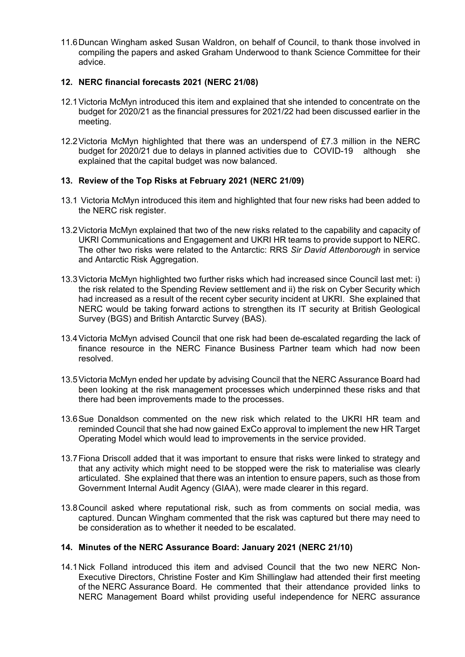11.6Duncan Wingham asked Susan Waldron, on behalf of Council, to thank those involved in compiling the papers and asked Graham Underwood to thank Science Committee for their advice.

#### **12. NERC financial forecasts 2021 (NERC 21/08)**

- 12.1Victoria McMyn introduced this item and explained that she intended to concentrate on the budget for 2020/21 as the financial pressures for 2021/22 had been discussed earlier in the meeting.
- 12.2Victoria McMyn highlighted that there was an underspend of £7.3 million in the NERC budget for 2020/21 due to delays in planned activities due to COVID-19 although she explained that the capital budget was now balanced.

#### **13. Review of the Top Risks at February 2021 (NERC 21/09)**

- 13.1 Victoria McMyn introduced this item and highlighted that four new risks had been added to the NERC risk register.
- 13.2Victoria McMyn explained that two of the new risks related to the capability and capacity of UKRI Communications and Engagement and UKRI HR teams to provide support to NERC. The other two risks were related to the Antarctic: RRS *Sir David Attenborough* in service and Antarctic Risk Aggregation.
- 13.3Victoria McMyn highlighted two further risks which had increased since Council last met: i) the risk related to the Spending Review settlement and ii) the risk on Cyber Security which had increased as a result of the recent cyber security incident at UKRI. She explained that NERC would be taking forward actions to strengthen its IT security at British Geological Survey (BGS) and British Antarctic Survey (BAS).
- 13.4Victoria McMyn advised Council that one risk had been de-escalated regarding the lack of finance resource in the NERC Finance Business Partner team which had now been resolved.
- 13.5Victoria McMyn ended her update by advising Council that the NERC Assurance Board had been looking at the risk management processes which underpinned these risks and that there had been improvements made to the processes.
- 13.6Sue Donaldson commented on the new risk which related to the UKRI HR team and reminded Council that she had now gained ExCo approval to implement the new HR Target Operating Model which would lead to improvements in the service provided.
- 13.7Fiona Driscoll added that it was important to ensure that risks were linked to strategy and that any activity which might need to be stopped were the risk to materialise was clearly articulated. She explained that there was an intention to ensure papers, such as those from Government Internal Audit Agency (GIAA), were made clearer in this regard.
- 13.8Council asked where reputational risk, such as from comments on social media, was captured. Duncan Wingham commented that the risk was captured but there may need to be consideration as to whether it needed to be escalated.

#### **14. Minutes of the NERC Assurance Board: January 2021 (NERC 21/10)**

14.1Nick Folland introduced this item and advised Council that the two new NERC Non-Executive Directors, Christine Foster and Kim Shillinglaw had attended their first meeting of the NERC Assurance Board. He commented that their attendance provided links to NERC Management Board whilst providing useful independence for NERC assurance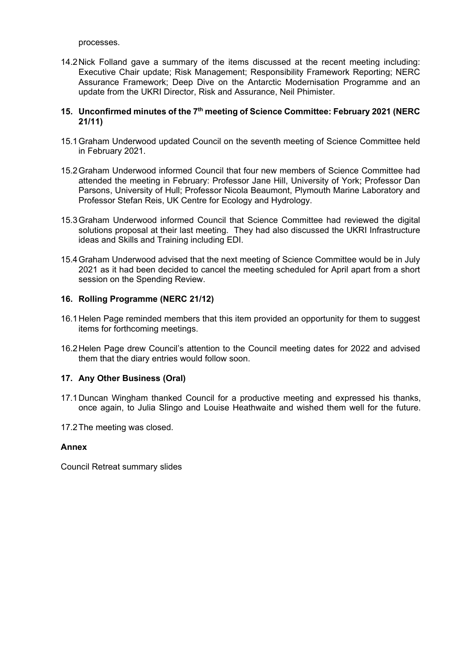processes.

14.2Nick Folland gave a summary of the items discussed at the recent meeting including: Executive Chair update; Risk Management; Responsibility Framework Reporting; NERC Assurance Framework; Deep Dive on the Antarctic Modernisation Programme and an update from the UKRI Director, Risk and Assurance, Neil Phimister.

#### **15. Unconfirmed minutes of the 7th meeting of Science Committee: February 2021 (NERC 21/11)**

- 15.1Graham Underwood updated Council on the seventh meeting of Science Committee held in February 2021.
- 15.2Graham Underwood informed Council that four new members of Science Committee had attended the meeting in February: Professor Jane Hill, University of York; Professor Dan Parsons, University of Hull; Professor Nicola Beaumont, Plymouth Marine Laboratory and Professor Stefan Reis, UK Centre for Ecology and Hydrology.
- 15.3Graham Underwood informed Council that Science Committee had reviewed the digital solutions proposal at their last meeting. They had also discussed the UKRI Infrastructure ideas and Skills and Training including EDI.
- 15.4Graham Underwood advised that the next meeting of Science Committee would be in July 2021 as it had been decided to cancel the meeting scheduled for April apart from a short session on the Spending Review.

#### **16. Rolling Programme (NERC 21/12)**

- 16.1Helen Page reminded members that this item provided an opportunity for them to suggest items for forthcoming meetings.
- 16.2Helen Page drew Council's attention to the Council meeting dates for 2022 and advised them that the diary entries would follow soon.

#### **17. Any Other Business (Oral)**

- 17.1Duncan Wingham thanked Council for a productive meeting and expressed his thanks, once again, to Julia Slingo and Louise Heathwaite and wished them well for the future.
- 17.2The meeting was closed.

#### **Annex**

Council Retreat summary slides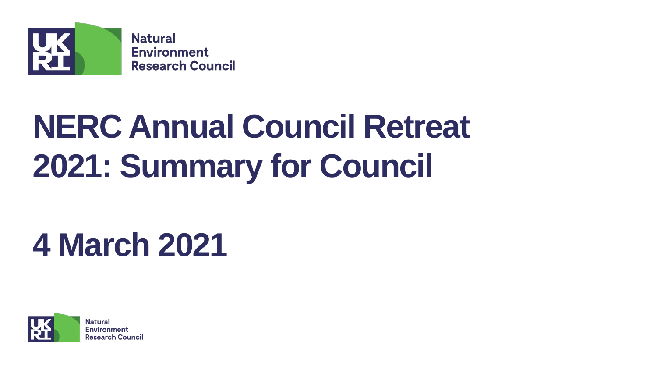

# **NERC Annual Council Retreat 2021: Summary for Council**

# **4 March 2021**

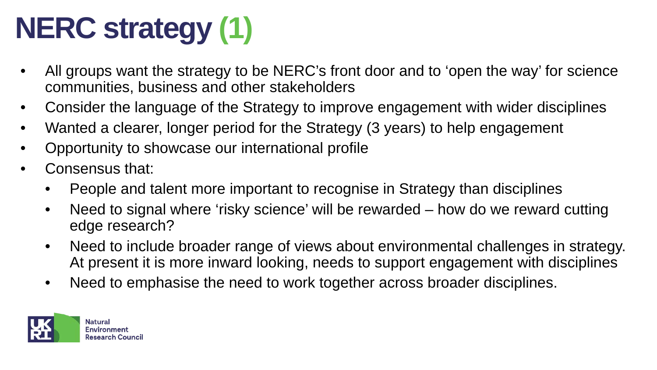# **NERC strategy (1)**

- All groups want the strategy to be NERC's front door and to 'open the way' for science communities, business and other stakeholders
- Consider the language of the Strategy to improve engagement with wider disciplines
- Wanted a clearer, longer period for the Strategy (3 years) to help engagement
- Opportunity to showcase our international profile
- Consensus that:
	- People and talent more important to recognise in Strategy than disciplines
	- Need to signal where 'risky science' will be rewarded how do we reward cutting edge research?
	- Need to include broader range of views about environmental challenges in strategy. At present it is more inward looking, needs to support engagement with disciplines
	- Need to emphasise the need to work together across broader disciplines.

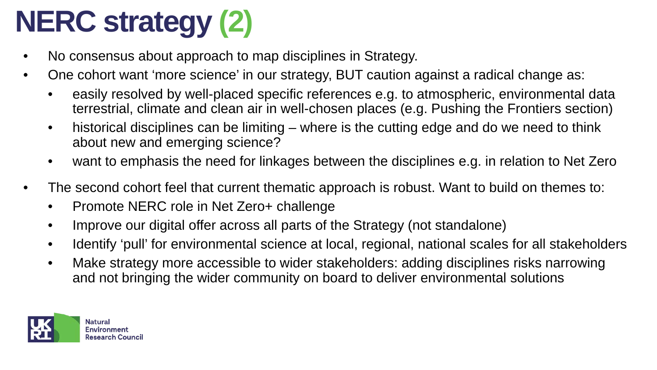# **NERC strategy (2)**

- No consensus about approach to map disciplines in Strategy.
- One cohort want 'more science' in our strategy, BUT caution against a radical change as:
	- easily resolved by well-placed specific references e.g. to atmospheric, environmental data terrestrial, climate and clean air in well-chosen places (e.g. Pushing the Frontiers section)
	- historical disciplines can be limiting where is the cutting edge and do we need to think about new and emerging science?
	- want to emphasis the need for linkages between the disciplines e.g. in relation to Net Zero
- The second cohort feel that current thematic approach is robust. Want to build on themes to:
	- Promote NERC role in Net Zero+ challenge
	- Improve our digital offer across all parts of the Strategy (not standalone)
	- Identify 'pull' for environmental science at local, regional, national scales for all stakeholders
	- Make strategy more accessible to wider stakeholders: adding disciplines risks narrowing and not bringing the wider community on board to deliver environmental solutions

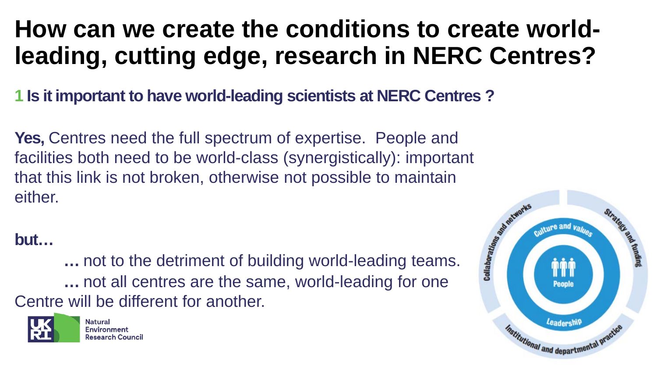## **How can we create the conditions to create worldleading, cutting edge, research in NERC Centres?**

**1 Is it important to have world-leading scientists at NERC Centres ?**

**Yes,** Centres need the full spectrum of expertise. People and facilities both need to be world-class (synergistically): important that this link is not broken, otherwise not possible to maintain either.

## **but…**

**…** not to the detriment of building world-leading teams. **…** not all centres are the same, world-leading for one Centre will be different for another.



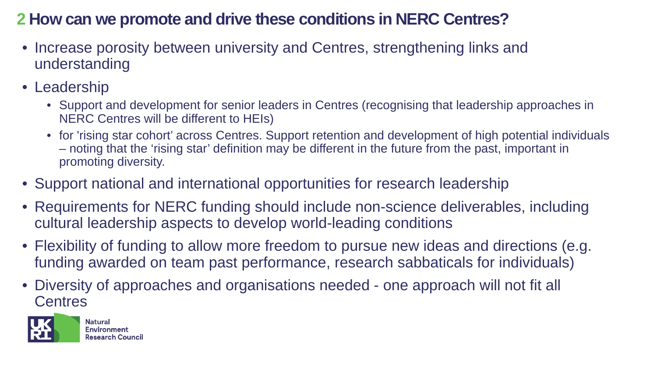## **2 How can we promote and drive these conditions in NERC Centres?**

- Increase porosity between university and Centres, strengthening links and understanding
- Leadership
	- Support and development for senior leaders in Centres (recognising that leadership approaches in NERC Centres will be different to HEIs)
	- for 'rising star cohort' across Centres. Support retention and development of high potential individuals – noting that the 'rising star' definition may be different in the future from the past, important in promoting diversity.
- Support national and international opportunities for research leadership
- Requirements for NERC funding should include non-science deliverables, including cultural leadership aspects to develop world-leading conditions
- Flexibility of funding to allow more freedom to pursue new ideas and directions (e.g. funding awarded on team past performance, research sabbaticals for individuals)
- Diversity of approaches and organisations needed one approach will not fit all **Centres**

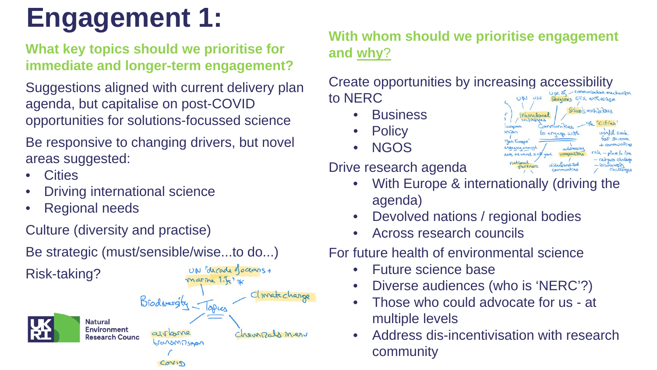## **Engagement 1:**

### **What key topics should we prioritise for immediate and longer-term engagement?**

opportunities for solutions-focussed science<br>Be responsive to changing drivers, but nove Suggestions aligned with current delivery plan agenda, but capitalise on post-COVID

Be responsive to changing drivers, but novel areas suggested:

- **Cities**
- **Driving international science**
- Regional needs

Culture (diversity and practise)

Be strategic (must/sensible/wise...to do...)



### **With whom should we prioritise engagement and why**?

Create opportunities by increasing accessibility to NERC

- **Business**
- **Policy**
- NGOS

Drive research agenda

- With Europe & internationally (driving the agenda)
- Devolved nations / regional bodies
- Across research councils

For future health of environmental science

- Future science base
- Diverse audiences (who is 'NERC'?)
- Those who could advocate for us at multiple levels
- Address dis-incentivisation with research community

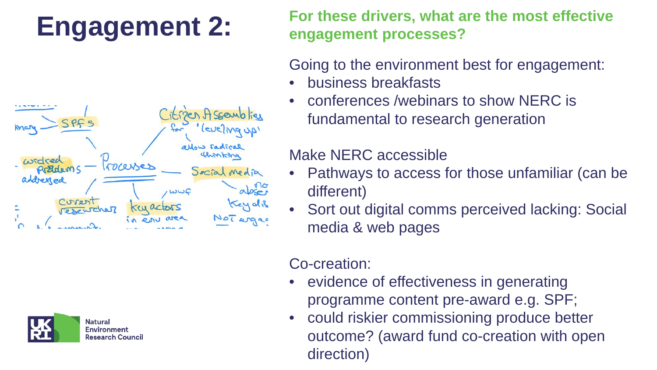## **Engagement 2:**





**For these drivers, what are the most effective engagement processes?**

Going to the environment best for engagement:

- business breakfasts
- conferences /webinars to show NERC is fundamental to research generation

### Make NERC accessible

- Pathways to access for those unfamiliar (can be different)
- Sort out digital comms perceived lacking: Social media & web pages

## Co-creation:

- evidence of effectiveness in generating programme content pre-award e.g. SPF;
- could riskier commissioning produce better outcome? (award fund co-creation with open direction)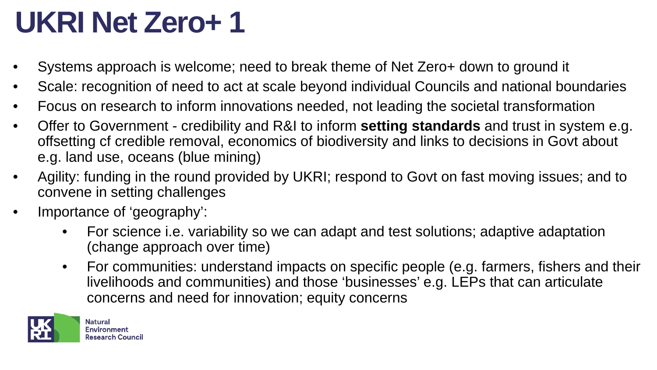## **UKRI Net Zero+ 1**

- Systems approach is welcome; need to break theme of Net Zero+ down to ground it
- Scale: recognition of need to act at scale beyond individual Councils and national boundaries
- Focus on research to inform innovations needed, not leading the societal transformation
- Offer to Government credibility and R&I to inform **setting standards** and trust in system e.g. offsetting cf credible removal, economics of biodiversity and links to decisions in Govt about e.g. land use, oceans (blue mining)
- Agility: funding in the round provided by UKRI; respond to Govt on fast moving issues; and to convene in setting challenges
- Importance of 'geography':
	- For science i.e. variability so we can adapt and test solutions; adaptive adaptation (change approach over time)
	- For communities: understand impacts on specific people (e.g. farmers, fishers and their livelihoods and communities) and those 'businesses' e.g. LEPs that can articulate concerns and need for innovation; equity concerns